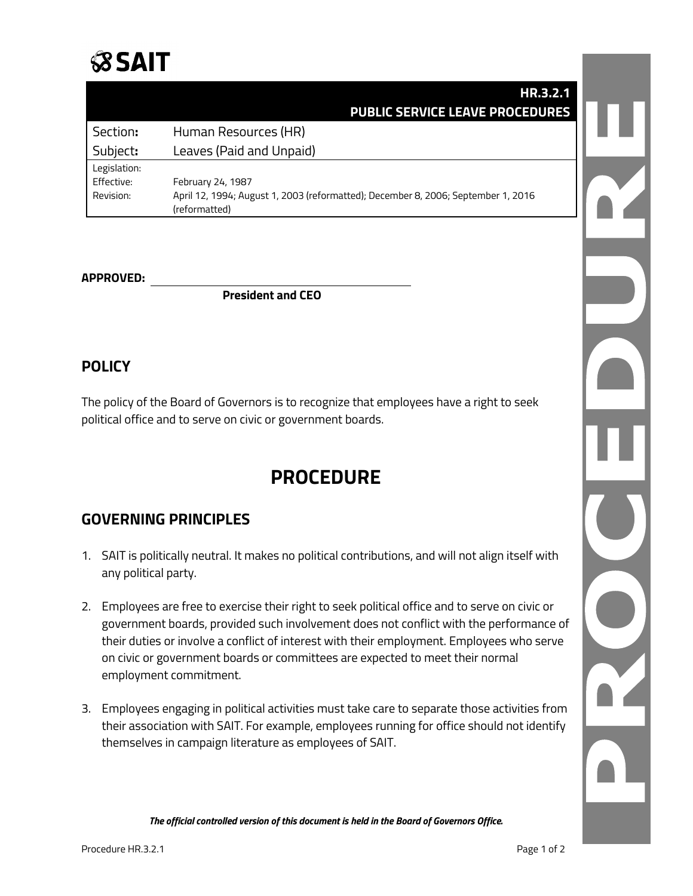

|              | HR.3.2.1                                                                          |  |
|--------------|-----------------------------------------------------------------------------------|--|
|              | <b>PUBLIC SERVICE LEAVE PROCEDURES</b>                                            |  |
| Section:     | Human Resources (HR)                                                              |  |
| Subject:     | Leaves (Paid and Unpaid)                                                          |  |
| Legislation: |                                                                                   |  |
| Effective:   | February 24, 1987                                                                 |  |
| Revision:    | April 12, 1994; August 1, 2003 (reformatted); December 8, 2006; September 1, 2016 |  |
|              | (reformatted)                                                                     |  |

### **APPROVED:**

**President and CEO**

## **POLICY**

The policy of the Board of Governors is to recognize that employees have a right to seek political office and to serve on civic or government boards.

# **PROCEDURE**

## **GOVERNING PRINCIPLES**

- 1. SAIT is politically neutral. It makes no political contributions, and will not align itself with any political party.
- 2. Employees are free to exercise their right to seek political office and to serve on civic or government boards, provided such involvement does not conflict with the performance of their duties or involve a conflict of interest with their employment. Employees who serve on civic or government boards or committees are expected to meet their normal employment commitment.
- 3. Employees engaging in political activities must take care to separate those activities from their association with SAIT. For example, employees running for office should not identify themselves in campaign literature as employees of SAIT.

*The official controlled version of this document is held in the Board of Governors Office.*